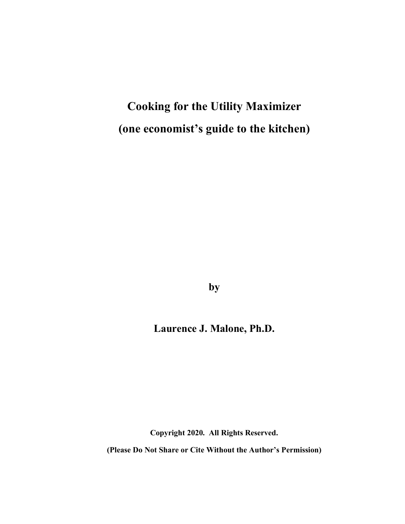**Cooking for the Utility Maximizer (one economist's guide to the kitchen)**

**by**

# **Laurence J. Malone, Ph.D.**

**Copyright 2020. All Rights Reserved.**

**(Please Do Not Share or Cite Without the Author's Permission)**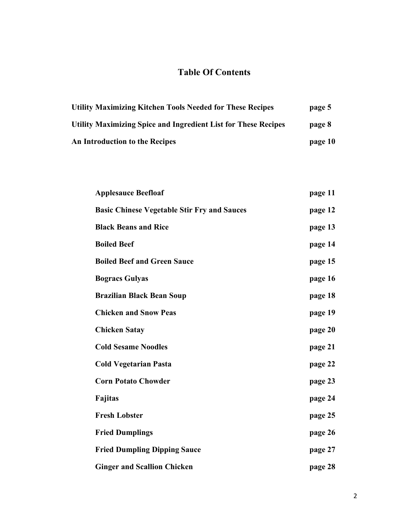# **Table Of Contents**

| <b>Utility Maximizing Kitchen Tools Needed for These Recipes</b>      | page 5  |
|-----------------------------------------------------------------------|---------|
| <b>Utility Maximizing Spice and Ingredient List for These Recipes</b> | page 8  |
| <b>An Introduction to the Recipes</b>                                 | page 10 |

| <b>Applesauce Beefloaf</b>                         | page 11 |
|----------------------------------------------------|---------|
| <b>Basic Chinese Vegetable Stir Fry and Sauces</b> | page 12 |
| <b>Black Beans and Rice</b>                        | page 13 |
| <b>Boiled Beef</b>                                 | page 14 |
| <b>Boiled Beef and Green Sauce</b>                 | page 15 |
| <b>Bogracs Gulyas</b>                              | page 16 |
| <b>Brazilian Black Bean Soup</b>                   | page 18 |
| <b>Chicken and Snow Peas</b>                       | page 19 |
| <b>Chicken Satay</b>                               | page 20 |
| <b>Cold Sesame Noodles</b>                         | page 21 |
| <b>Cold Vegetarian Pasta</b>                       | page 22 |
| <b>Corn Potato Chowder</b>                         | page 23 |
| <b>Fajitas</b>                                     | page 24 |
| <b>Fresh Lobster</b>                               | page 25 |
| <b>Fried Dumplings</b>                             | page 26 |
| <b>Fried Dumpling Dipping Sauce</b>                | page 27 |
| <b>Ginger and Scallion Chicken</b>                 | page 28 |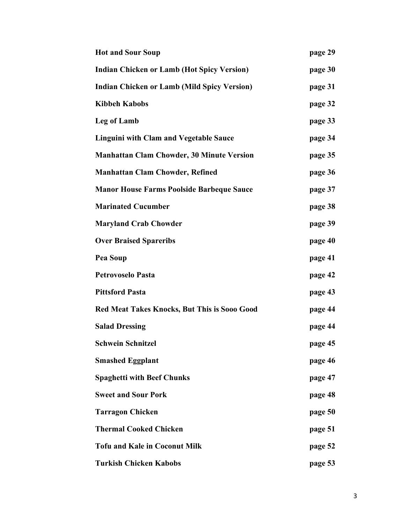| <b>Hot and Sour Soup</b>                            | page 29 |
|-----------------------------------------------------|---------|
| <b>Indian Chicken or Lamb (Hot Spicy Version)</b>   | page 30 |
| <b>Indian Chicken or Lamb (Mild Spicy Version)</b>  | page 31 |
| <b>Kibbeh Kabobs</b>                                | page 32 |
| Leg of Lamb                                         | page 33 |
| <b>Linguini with Clam and Vegetable Sauce</b>       | page 34 |
| <b>Manhattan Clam Chowder, 30 Minute Version</b>    | page 35 |
| <b>Manhattan Clam Chowder, Refined</b>              | page 36 |
| <b>Manor House Farms Poolside Barbeque Sauce</b>    | page 37 |
| <b>Marinated Cucumber</b>                           | page 38 |
| <b>Maryland Crab Chowder</b>                        | page 39 |
| <b>Over Braised Spareribs</b>                       | page 40 |
| Pea Soup                                            | page 41 |
| <b>Petrovoselo Pasta</b>                            | page 42 |
| <b>Pittsford Pasta</b>                              | page 43 |
| <b>Red Meat Takes Knocks, But This is Sooo Good</b> | page 44 |
| <b>Salad Dressing</b>                               | page 44 |
| <b>Schwein Schnitzel</b>                            | page 45 |
| <b>Smashed Eggplant</b>                             | page 46 |
| <b>Spaghetti with Beef Chunks</b>                   | page 47 |
| <b>Sweet and Sour Pork</b>                          | page 48 |
| <b>Tarragon Chicken</b>                             | page 50 |
| <b>Thermal Cooked Chicken</b>                       | page 51 |
| <b>Tofu and Kale in Coconut Milk</b>                | page 52 |
| <b>Turkish Chicken Kabobs</b>                       | page 53 |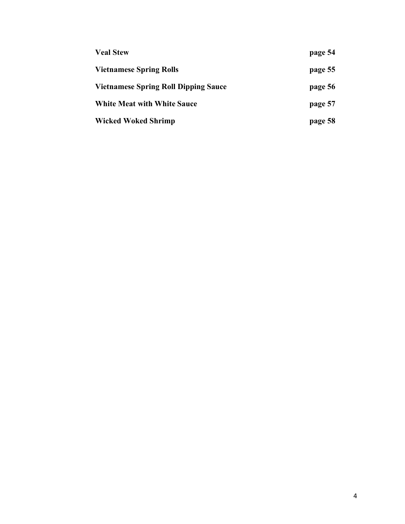| <b>Veal Stew</b>                            | page 54 |
|---------------------------------------------|---------|
| <b>Vietnamese Spring Rolls</b>              | page 55 |
| <b>Vietnamese Spring Roll Dipping Sauce</b> | page 56 |
| <b>White Meat with White Sauce</b>          | page 57 |
| Wicked Woked Shrimp                         | page 58 |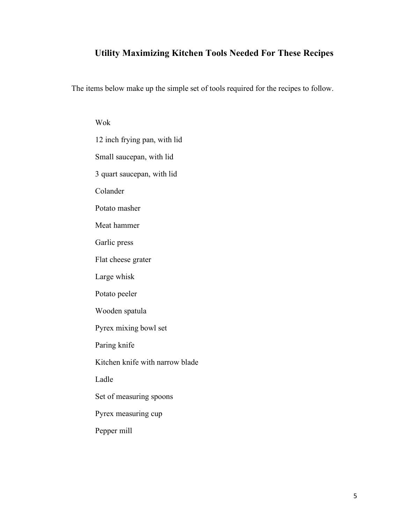#### **Utility Maximizing Kitchen Tools Needed For These Recipes**

The items below make up the simple set of tools required for the recipes to follow.

Wok 12 inch frying pan, with lid Small saucepan, with lid 3 quart saucepan, with lid Colander Potato masher Meat hammer Garlic press Flat cheese grater Large whisk Potato peeler Wooden spatula Pyrex mixing bowl set Paring knife Kitchen knife with narrow blade Ladle Set of measuring spoons Pyrex measuring cup Pepper mill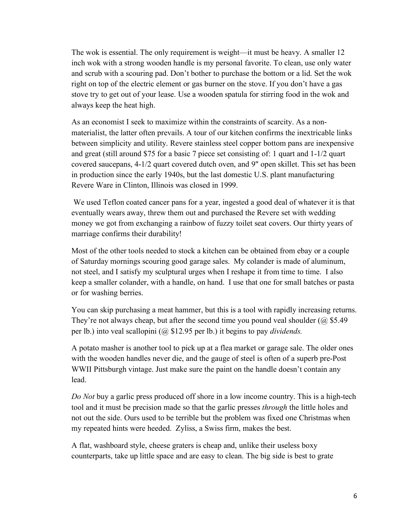The wok is essential. The only requirement is weight—it must be heavy. A smaller 12 inch wok with a strong wooden handle is my personal favorite. To clean, use only water and scrub with a scouring pad. Don't bother to purchase the bottom or a lid. Set the wok right on top of the electric element or gas burner on the stove. If you don't have a gas stove try to get out of your lease. Use a wooden spatula for stirring food in the wok and always keep the heat high.

As an economist I seek to maximize within the constraints of scarcity. As a nonmaterialist, the latter often prevails. A tour of our kitchen confirms the inextricable links between simplicity and utility. Revere stainless steel copper bottom pans are inexpensive and great (still around \$75 for a basic 7 piece set consisting of: 1 quart and 1-1/2 quart covered saucepans, 4-1/2 quart covered dutch oven, and 9" open skillet. This set has been in production since the early 1940s, but the last domestic U.S. plant manufacturing Revere Ware in Clinton, Illinois was closed in 1999.

We used Teflon coated cancer pans for a year, ingested a good deal of whatever it is that eventually wears away, threw them out and purchased the Revere set with wedding money we got from exchanging a rainbow of fuzzy toilet seat covers. Our thirty years of marriage confirms their durability!

Most of the other tools needed to stock a kitchen can be obtained from ebay or a couple of Saturday mornings scouring good garage sales. My colander is made of aluminum, not steel, and I satisfy my sculptural urges when I reshape it from time to time. I also keep a smaller colander, with a handle, on hand. I use that one for small batches or pasta or for washing berries.

You can skip purchasing a meat hammer, but this is a tool with rapidly increasing returns. They're not always cheap, but after the second time you pound veal shoulder  $(Q)$  \$5.49 per lb.) into veal scallopini (@ \$12.95 per lb.) it begins to pay *dividends.*

A potato masher is another tool to pick up at a flea market or garage sale. The older ones with the wooden handles never die, and the gauge of steel is often of a superb pre-Post WWII Pittsburgh vintage. Just make sure the paint on the handle doesn't contain any lead.

*Do Not* buy a garlic press produced off shore in a low income country. This is a high-tech tool and it must be precision made so that the garlic presses *through* the little holes and not out the side. Ours used to be terrible but the problem was fixed one Christmas when my repeated hints were heeded. Zyliss, a Swiss firm, makes the best.

A flat, washboard style, cheese graters is cheap and, unlike their useless boxy counterparts, take up little space and are easy to clean. The big side is best to grate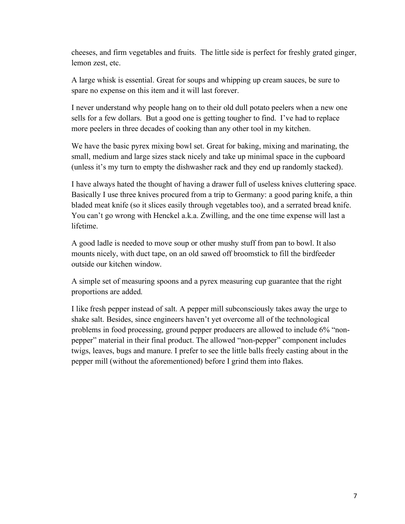cheeses, and firm vegetables and fruits. The little side is perfect for freshly grated ginger, lemon zest, etc.

A large whisk is essential. Great for soups and whipping up cream sauces, be sure to spare no expense on this item and it will last forever.

I never understand why people hang on to their old dull potato peelers when a new one sells for a few dollars. But a good one is getting tougher to find. I've had to replace more peelers in three decades of cooking than any other tool in my kitchen.

We have the basic pyrex mixing bowl set. Great for baking, mixing and marinating, the small, medium and large sizes stack nicely and take up minimal space in the cupboard (unless it's my turn to empty the dishwasher rack and they end up randomly stacked).

I have always hated the thought of having a drawer full of useless knives cluttering space. Basically I use three knives procured from a trip to Germany: a good paring knife, a thin bladed meat knife (so it slices easily through vegetables too), and a serrated bread knife. You can't go wrong with Henckel a.k.a. Zwilling, and the one time expense will last a lifetime.

A good ladle is needed to move soup or other mushy stuff from pan to bowl. It also mounts nicely, with duct tape, on an old sawed off broomstick to fill the birdfeeder outside our kitchen window.

A simple set of measuring spoons and a pyrex measuring cup guarantee that the right proportions are added.

I like fresh pepper instead of salt. A pepper mill subconsciously takes away the urge to shake salt. Besides, since engineers haven't yet overcome all of the technological problems in food processing, ground pepper producers are allowed to include 6% "nonpepper" material in their final product. The allowed "non-pepper" component includes twigs, leaves, bugs and manure. I prefer to see the little balls freely casting about in the pepper mill (without the aforementioned) before I grind them into flakes.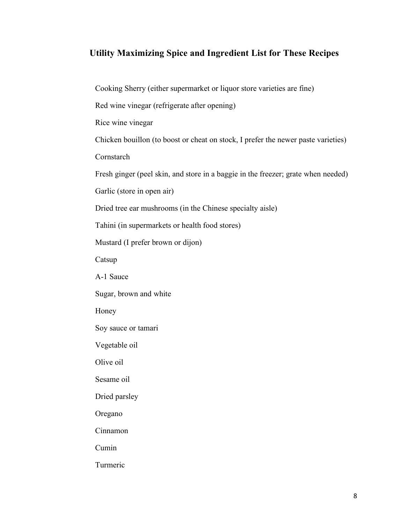#### **Utility Maximizing Spice and Ingredient List for These Recipes**

Cooking Sherry (either supermarket or liquor store varieties are fine)

Red wine vinegar (refrigerate after opening)

Rice wine vinegar

Chicken bouillon (to boost or cheat on stock, I prefer the newer paste varieties)

Cornstarch

Fresh ginger (peel skin, and store in a baggie in the freezer; grate when needed)

Garlic (store in open air)

Dried tree ear mushrooms (in the Chinese specialty aisle)

Tahini (in supermarkets or health food stores)

Mustard (I prefer brown or dijon)

Catsup

A-1 Sauce

Sugar, brown and white

Honey

Soy sauce or tamari

Vegetable oil

Olive oil

Sesame oil

Dried parsley

Oregano

Cinnamon

Cumin

Turmeric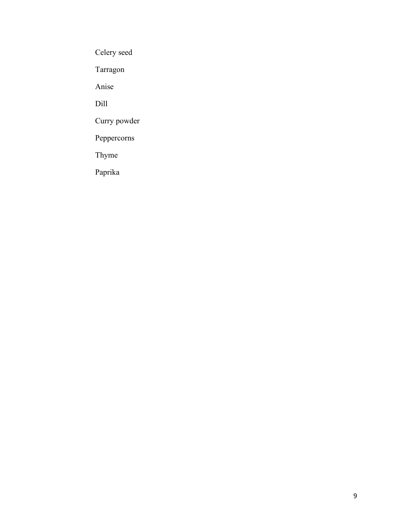Celery seed

Tarragon

Anise

Dill

Curry powder

Peppercorns

Thyme

Paprika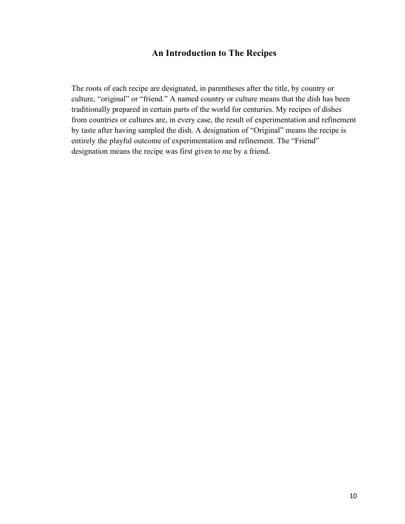#### **An Introduction to The Recipes**

The roots of each recipe are designated, in parentheses after the title, by country or culture, "original" or "friend." A named country or culture means that the dish has been traditionally prepared in certain parts of the world for centuries. My recipes of dishes from countries or cultures are, in every case, the result of experimentation and refinement by taste after having sampled the dish. A designation of "Original" means the recipe is entirely the playful outcome of experimentation and refinement. The "Friend" designation means the recipe was first given to me by a friend.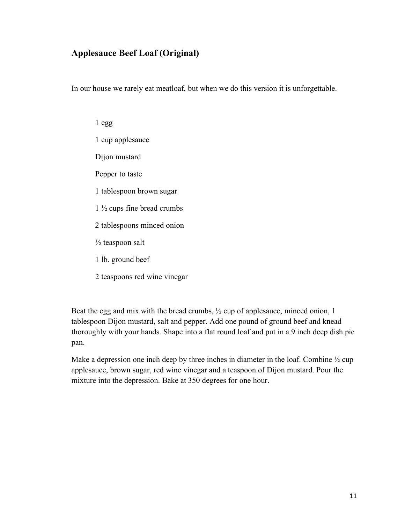### **Applesauce Beef Loaf (Original)**

In our house we rarely eat meatloaf, but when we do this version it is unforgettable.

1 egg 1 cup applesauce Dijon mustard Pepper to taste 1 tablespoon brown sugar 1 ½ cups fine bread crumbs 2 tablespoons minced onion  $\frac{1}{2}$  teaspoon salt 1 lb. ground beef

2 teaspoons red wine vinegar

Beat the egg and mix with the bread crumbs,  $\frac{1}{2}$  cup of applesauce, minced onion, 1 tablespoon Dijon mustard, salt and pepper. Add one pound of ground beef and knead thoroughly with your hands. Shape into a flat round loaf and put in a 9 inch deep dish pie pan.

Make a depression one inch deep by three inches in diameter in the loaf. Combine  $\frac{1}{2}$  cup applesauce, brown sugar, red wine vinegar and a teaspoon of Dijon mustard. Pour the mixture into the depression. Bake at 350 degrees for one hour.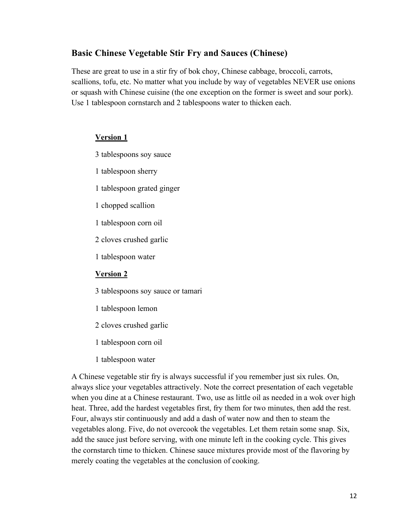#### **Basic Chinese Vegetable Stir Fry and Sauces (Chinese)**

These are great to use in a stir fry of bok choy, Chinese cabbage, broccoli, carrots, scallions, tofu, etc. No matter what you include by way of vegetables NEVER use onions or squash with Chinese cuisine (the one exception on the former is sweet and sour pork). Use 1 tablespoon cornstarch and 2 tablespoons water to thicken each.

#### **Version 1**

- 3 tablespoons soy sauce
- 1 tablespoon sherry
- 1 tablespoon grated ginger
- 1 chopped scallion
- 1 tablespoon corn oil
- 2 cloves crushed garlic
- 1 tablespoon water

#### **Version 2**

- 3 tablespoons soy sauce or tamari
- 1 tablespoon lemon
- 2 cloves crushed garlic
- 1 tablespoon corn oil
- 1 tablespoon water

A Chinese vegetable stir fry is always successful if you remember just six rules. On, always slice your vegetables attractively. Note the correct presentation of each vegetable when you dine at a Chinese restaurant. Two, use as little oil as needed in a wok over high heat. Three, add the hardest vegetables first, fry them for two minutes, then add the rest. Four, always stir continuously and add a dash of water now and then to steam the vegetables along. Five, do not overcook the vegetables. Let them retain some snap. Six, add the sauce just before serving, with one minute left in the cooking cycle. This gives the cornstarch time to thicken. Chinese sauce mixtures provide most of the flavoring by merely coating the vegetables at the conclusion of cooking.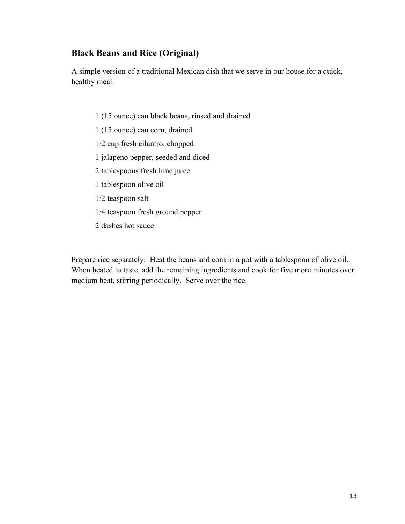#### **Black Beans and Rice (Original)**

A simple version of a traditional Mexican dish that we serve in our house for a quick, healthy meal.

- 1 (15 ounce) can black beans, rinsed and drained
- 1 (15 ounce) can corn, drained
- 1/2 cup fresh cilantro, chopped
- 1 jalapeno pepper, seeded and diced
- 2 tablespoons fresh lime juice
- 1 tablespoon olive oil
- 1/2 teaspoon salt
- 1/4 teaspoon fresh ground pepper
- 2 dashes hot sauce

Prepare rice separately. Heat the beans and corn in a pot with a tablespoon of olive oil. When heated to taste, add the remaining ingredients and cook for five more minutes over medium heat, stirring periodically. Serve over the rice.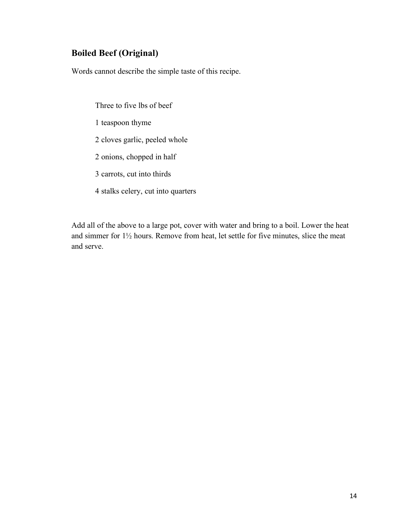## **Boiled Beef (Original)**

Words cannot describe the simple taste of this recipe.

Three to five lbs of beef 1 teaspoon thyme 2 cloves garlic, peeled whole 2 onions, chopped in half 3 carrots, cut into thirds 4 stalks celery, cut into quarters

Add all of the above to a large pot, cover with water and bring to a boil. Lower the heat and simmer for 1½ hours. Remove from heat, let settle for five minutes, slice the meat and serve.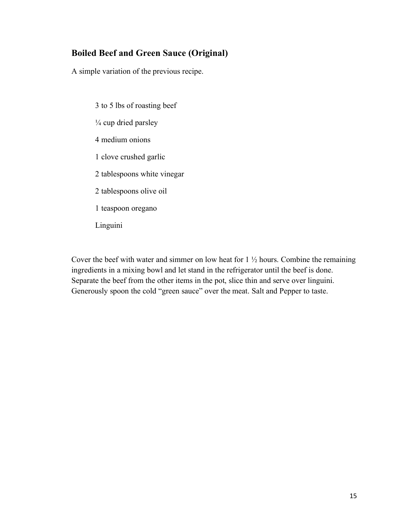## **Boiled Beef and Green Sauce (Original)**

A simple variation of the previous recipe.

- 3 to 5 lbs of roasting beef  $\frac{1}{4}$  cup dried parsley 4 medium onions 1 clove crushed garlic 2 tablespoons white vinegar 2 tablespoons olive oil 1 teaspoon oregano
- Linguini

Cover the beef with water and simmer on low heat for  $1\frac{1}{2}$  hours. Combine the remaining ingredients in a mixing bowl and let stand in the refrigerator until the beef is done. Separate the beef from the other items in the pot, slice thin and serve over linguini. Generously spoon the cold "green sauce" over the meat. Salt and Pepper to taste.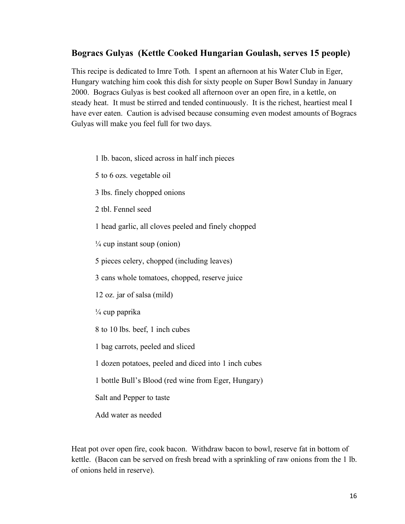#### **Bogracs Gulyas (Kettle Cooked Hungarian Goulash, serves 15 people)**

This recipe is dedicated to Imre Toth. I spent an afternoon at his Water Club in Eger, Hungary watching him cook this dish for sixty people on Super Bowl Sunday in January 2000. Bogracs Gulyas is best cooked all afternoon over an open fire, in a kettle, on steady heat. It must be stirred and tended continuously. It is the richest, heartiest meal I have ever eaten. Caution is advised because consuming even modest amounts of Bogracs Gulyas will make you feel full for two days.

- 1 lb. bacon, sliced across in half inch pieces
- 5 to 6 ozs. vegetable oil
- 3 lbs. finely chopped onions
- 2 tbl. Fennel seed
- 1 head garlic, all cloves peeled and finely chopped
- $\frac{1}{4}$  cup instant soup (onion)
- 5 pieces celery, chopped (including leaves)
- 3 cans whole tomatoes, chopped, reserve juice
- 12 oz. jar of salsa (mild)
- $\frac{1}{4}$  cup paprika
- 8 to 10 lbs. beef, 1 inch cubes
- 1 bag carrots, peeled and sliced
- 1 dozen potatoes, peeled and diced into 1 inch cubes
- 1 bottle Bull's Blood (red wine from Eger, Hungary)
- Salt and Pepper to taste
- Add water as needed

Heat pot over open fire, cook bacon. Withdraw bacon to bowl, reserve fat in bottom of kettle. (Bacon can be served on fresh bread with a sprinkling of raw onions from the 1 lb. of onions held in reserve).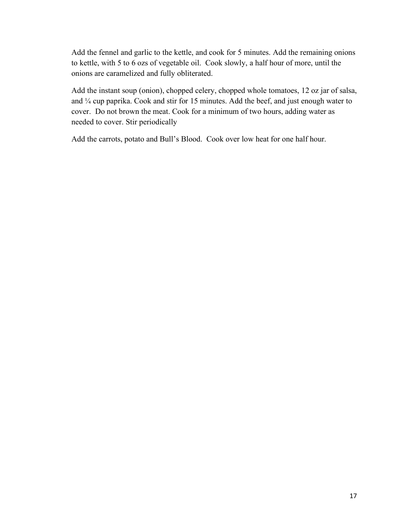Add the fennel and garlic to the kettle, and cook for 5 minutes. Add the remaining onions to kettle, with 5 to 6 ozs of vegetable oil. Cook slowly, a half hour of more, until the onions are caramelized and fully obliterated.

Add the instant soup (onion), chopped celery, chopped whole tomatoes, 12 oz jar of salsa, and ¼ cup paprika. Cook and stir for 15 minutes. Add the beef, and just enough water to cover. Do not brown the meat. Cook for a minimum of two hours, adding water as needed to cover. Stir periodically

Add the carrots, potato and Bull's Blood. Cook over low heat for one half hour.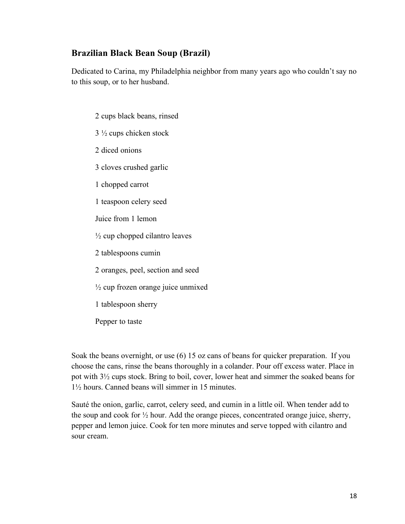#### **Brazilian Black Bean Soup (Brazil)**

Dedicated to Carina, my Philadelphia neighbor from many years ago who couldn't say no to this soup, or to her husband.

2 cups black beans, rinsed 3 ½ cups chicken stock 2 diced onions 3 cloves crushed garlic 1 chopped carrot 1 teaspoon celery seed Juice from 1 lemon  $\frac{1}{2}$  cup chopped cilantro leaves 2 tablespoons cumin 2 oranges, peel, section and seed  $\frac{1}{2}$  cup frozen orange juice unmixed 1 tablespoon sherry Pepper to taste

Soak the beans overnight, or use (6) 15 oz cans of beans for quicker preparation. If you choose the cans, rinse the beans thoroughly in a colander. Pour off excess water. Place in pot with 3½ cups stock. Bring to boil, cover, lower heat and simmer the soaked beans for 1½ hours. Canned beans will simmer in 15 minutes.

Sauté the onion, garlic, carrot, celery seed, and cumin in a little oil. When tender add to the soup and cook for ½ hour. Add the orange pieces, concentrated orange juice, sherry, pepper and lemon juice. Cook for ten more minutes and serve topped with cilantro and sour cream.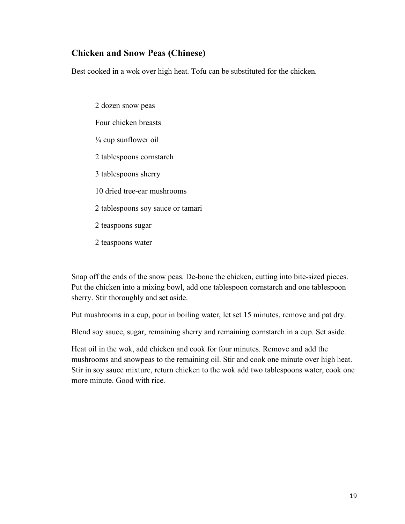#### **Chicken and Snow Peas (Chinese)**

Best cooked in a wok over high heat. Tofu can be substituted for the chicken.

2 dozen snow peas Four chicken breasts  $\frac{1}{4}$  cup sunflower oil 2 tablespoons cornstarch 3 tablespoons sherry 10 dried tree-ear mushrooms 2 tablespoons soy sauce or tamari 2 teaspoons sugar 2 teaspoons water

Snap off the ends of the snow peas. De-bone the chicken, cutting into bite-sized pieces. Put the chicken into a mixing bowl, add one tablespoon cornstarch and one tablespoon sherry. Stir thoroughly and set aside.

Put mushrooms in a cup, pour in boiling water, let set 15 minutes, remove and pat dry.

Blend soy sauce, sugar, remaining sherry and remaining cornstarch in a cup. Set aside.

Heat oil in the wok, add chicken and cook for four minutes. Remove and add the mushrooms and snowpeas to the remaining oil. Stir and cook one minute over high heat. Stir in soy sauce mixture, return chicken to the wok add two tablespoons water, cook one more minute. Good with rice.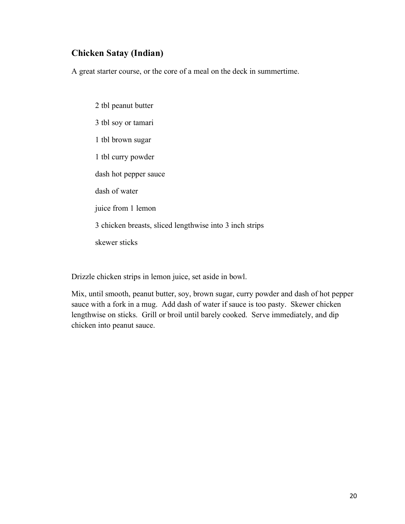### **Chicken Satay (Indian)**

A great starter course, or the core of a meal on the deck in summertime.

2 tbl peanut butter 3 tbl soy or tamari 1 tbl brown sugar 1 tbl curry powder dash hot pepper sauce dash of water juice from 1 lemon 3 chicken breasts, sliced lengthwise into 3 inch strips skewer sticks

Drizzle chicken strips in lemon juice, set aside in bowl.

Mix, until smooth, peanut butter, soy, brown sugar, curry powder and dash of hot pepper sauce with a fork in a mug. Add dash of water if sauce is too pasty. Skewer chicken lengthwise on sticks. Grill or broil until barely cooked. Serve immediately, and dip chicken into peanut sauce.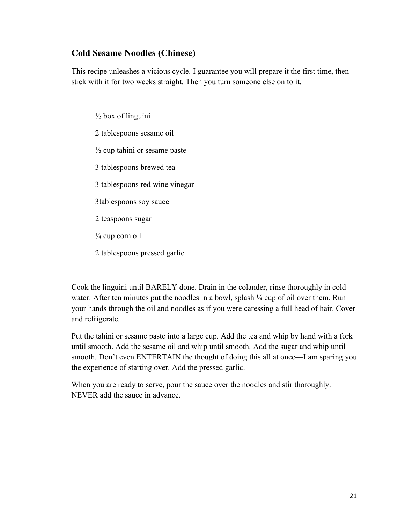### **Cold Sesame Noodles (Chinese)**

This recipe unleashes a vicious cycle. I guarantee you will prepare it the first time, then stick with it for two weeks straight. Then you turn someone else on to it.

- $\frac{1}{2}$  box of linguini 2 tablespoons sesame oil  $\frac{1}{2}$  cup tahini or sesame paste 3 tablespoons brewed tea 3 tablespoons red wine vinegar 3tablespoons soy sauce 2 teaspoons sugar
- $\frac{1}{4}$  cup corn oil
- 2 tablespoons pressed garlic

Cook the linguini until BARELY done. Drain in the colander, rinse thoroughly in cold water. After ten minutes put the noodles in a bowl, splash  $\frac{1}{4}$  cup of oil over them. Run your hands through the oil and noodles as if you were caressing a full head of hair. Cover and refrigerate.

Put the tahini or sesame paste into a large cup. Add the tea and whip by hand with a fork until smooth. Add the sesame oil and whip until smooth. Add the sugar and whip until smooth. Don't even ENTERTAIN the thought of doing this all at once—I am sparing you the experience of starting over. Add the pressed garlic.

When you are ready to serve, pour the sauce over the noodles and stir thoroughly. NEVER add the sauce in advance.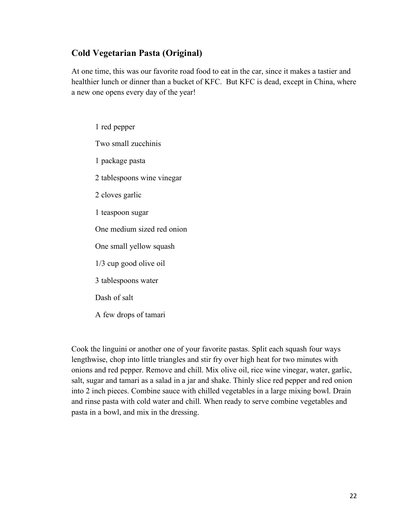### **Cold Vegetarian Pasta (Original)**

At one time, this was our favorite road food to eat in the car, since it makes a tastier and healthier lunch or dinner than a bucket of KFC. But KFC is dead, except in China, where a new one opens every day of the year!

1 red pepper Two small zucchinis 1 package pasta 2 tablespoons wine vinegar 2 cloves garlic 1 teaspoon sugar One medium sized red onion One small yellow squash 1/3 cup good olive oil 3 tablespoons water Dash of salt A few drops of tamari

Cook the linguini or another one of your favorite pastas. Split each squash four ways lengthwise, chop into little triangles and stir fry over high heat for two minutes with onions and red pepper. Remove and chill. Mix olive oil, rice wine vinegar, water, garlic, salt, sugar and tamari as a salad in a jar and shake. Thinly slice red pepper and red onion into 2 inch pieces. Combine sauce with chilled vegetables in a large mixing bowl. Drain and rinse pasta with cold water and chill. When ready to serve combine vegetables and pasta in a bowl, and mix in the dressing.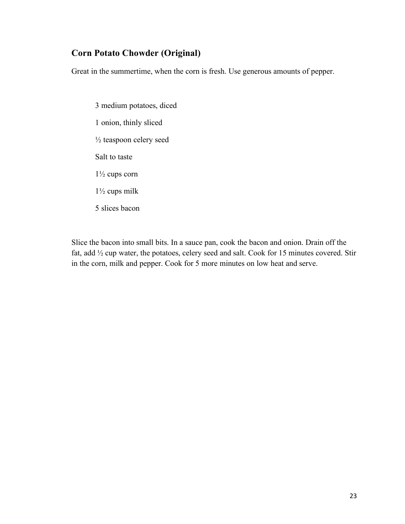### **Corn Potato Chowder (Original)**

Great in the summertime, when the corn is fresh. Use generous amounts of pepper.

3 medium potatoes, diced 1 onion, thinly sliced ½ teaspoon celery seed Salt to taste 1½ cups corn 1½ cups milk 5 slices bacon

Slice the bacon into small bits. In a sauce pan, cook the bacon and onion. Drain off the fat, add ½ cup water, the potatoes, celery seed and salt. Cook for 15 minutes covered. Stir in the corn, milk and pepper. Cook for 5 more minutes on low heat and serve.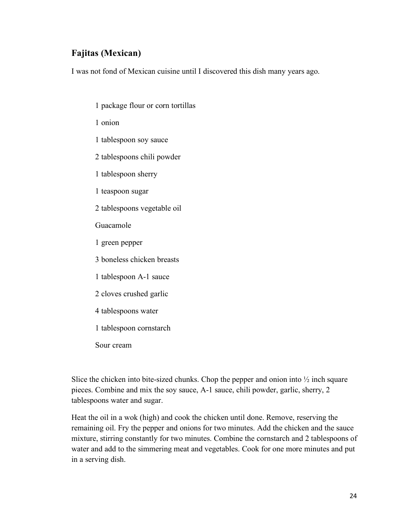## **Fajitas (Mexican)**

I was not fond of Mexican cuisine until I discovered this dish many years ago.

- 1 package flour or corn tortillas
- 1 onion
- 1 tablespoon soy sauce
- 2 tablespoons chili powder
- 1 tablespoon sherry
- 1 teaspoon sugar
- 2 tablespoons vegetable oil
- Guacamole
- 1 green pepper
- 3 boneless chicken breasts
- 1 tablespoon A-1 sauce
- 2 cloves crushed garlic
- 4 tablespoons water
- 1 tablespoon cornstarch
- Sour cream

Slice the chicken into bite-sized chunks. Chop the pepper and onion into  $\frac{1}{2}$  inch square pieces. Combine and mix the soy sauce, A-1 sauce, chili powder, garlic, sherry, 2 tablespoons water and sugar.

Heat the oil in a wok (high) and cook the chicken until done. Remove, reserving the remaining oil. Fry the pepper and onions for two minutes. Add the chicken and the sauce mixture, stirring constantly for two minutes. Combine the cornstarch and 2 tablespoons of water and add to the simmering meat and vegetables. Cook for one more minutes and put in a serving dish.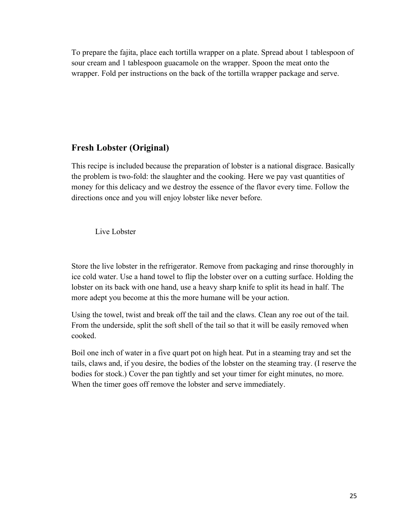To prepare the fajita, place each tortilla wrapper on a plate. Spread about 1 tablespoon of sour cream and 1 tablespoon guacamole on the wrapper. Spoon the meat onto the wrapper. Fold per instructions on the back of the tortilla wrapper package and serve.

### **Fresh Lobster (Original)**

This recipe is included because the preparation of lobster is a national disgrace. Basically the problem is two-fold: the slaughter and the cooking. Here we pay vast quantities of money for this delicacy and we destroy the essence of the flavor every time. Follow the directions once and you will enjoy lobster like never before.

Live Lobster

Store the live lobster in the refrigerator. Remove from packaging and rinse thoroughly in ice cold water. Use a hand towel to flip the lobster over on a cutting surface. Holding the lobster on its back with one hand, use a heavy sharp knife to split its head in half. The more adept you become at this the more humane will be your action.

Using the towel, twist and break off the tail and the claws. Clean any roe out of the tail. From the underside, split the soft shell of the tail so that it will be easily removed when cooked.

Boil one inch of water in a five quart pot on high heat. Put in a steaming tray and set the tails, claws and, if you desire, the bodies of the lobster on the steaming tray. (I reserve the bodies for stock.) Cover the pan tightly and set your timer for eight minutes, no more. When the timer goes off remove the lobster and serve immediately.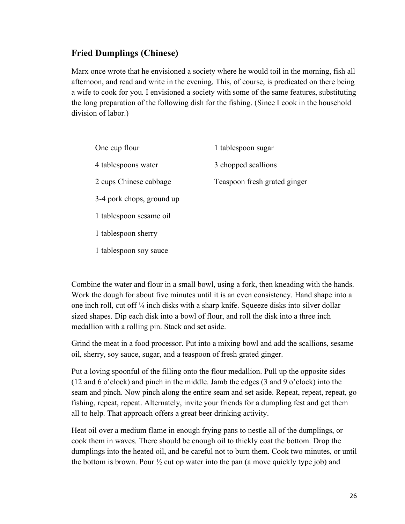### **Fried Dumplings (Chinese)**

Marx once wrote that he envisioned a society where he would toil in the morning, fish all afternoon, and read and write in the evening. This, of course, is predicated on there being a wife to cook for you. I envisioned a society with some of the same features, substituting the long preparation of the following dish for the fishing. (Since I cook in the household division of labor.)

| One cup flour             | 1 tablespoon sugar           |
|---------------------------|------------------------------|
| 4 tablespoons water       | 3 chopped scallions          |
| 2 cups Chinese cabbage    | Teaspoon fresh grated ginger |
| 3-4 pork chops, ground up |                              |
| 1 tablespoon sesame oil   |                              |
| 1 tablespoon sherry       |                              |
| 1 tablespoon soy sauce    |                              |

Combine the water and flour in a small bowl, using a fork, then kneading with the hands. Work the dough for about five minutes until it is an even consistency. Hand shape into a one inch roll, cut off ¼ inch disks with a sharp knife. Squeeze disks into silver dollar sized shapes. Dip each disk into a bowl of flour, and roll the disk into a three inch medallion with a rolling pin. Stack and set aside.

Grind the meat in a food processor. Put into a mixing bowl and add the scallions, sesame oil, sherry, soy sauce, sugar, and a teaspoon of fresh grated ginger.

Put a loving spoonful of the filling onto the flour medallion. Pull up the opposite sides (12 and 6 o'clock) and pinch in the middle. Jamb the edges (3 and 9 o'clock) into the seam and pinch. Now pinch along the entire seam and set aside. Repeat, repeat, repeat, go fishing, repeat, repeat. Alternately, invite your friends for a dumpling fest and get them all to help. That approach offers a great beer drinking activity.

Heat oil over a medium flame in enough frying pans to nestle all of the dumplings, or cook them in waves. There should be enough oil to thickly coat the bottom. Drop the dumplings into the heated oil, and be careful not to burn them. Cook two minutes, or until the bottom is brown. Pour  $\frac{1}{2}$  cut op water into the pan (a move quickly type job) and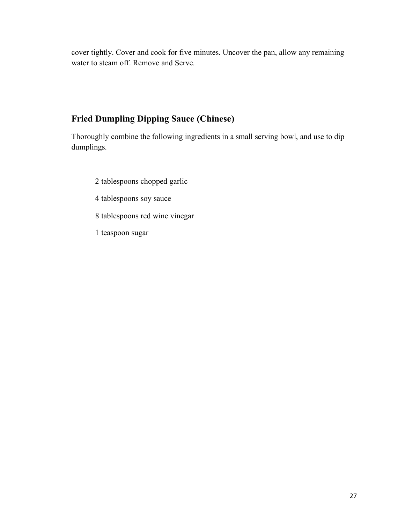cover tightly. Cover and cook for five minutes. Uncover the pan, allow any remaining water to steam off. Remove and Serve.

## **Fried Dumpling Dipping Sauce (Chinese)**

Thoroughly combine the following ingredients in a small serving bowl, and use to dip dumplings.

- 2 tablespoons chopped garlic
- 4 tablespoons soy sauce
- 8 tablespoons red wine vinegar
- 1 teaspoon sugar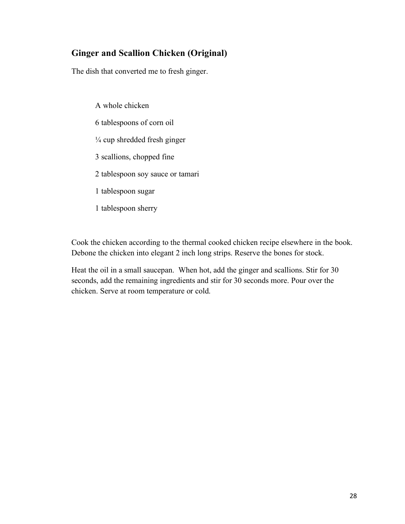## **Ginger and Scallion Chicken (Original)**

The dish that converted me to fresh ginger.

A whole chicken 6 tablespoons of corn oil ¼ cup shredded fresh ginger 3 scallions, chopped fine 2 tablespoon soy sauce or tamari 1 tablespoon sugar 1 tablespoon sherry

Cook the chicken according to the thermal cooked chicken recipe elsewhere in the book. Debone the chicken into elegant 2 inch long strips. Reserve the bones for stock.

Heat the oil in a small saucepan. When hot, add the ginger and scallions. Stir for 30 seconds, add the remaining ingredients and stir for 30 seconds more. Pour over the chicken. Serve at room temperature or cold.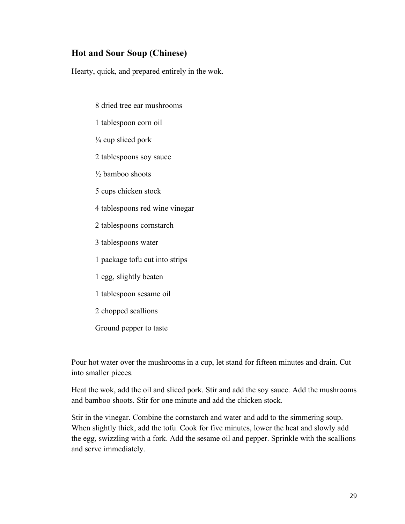### **Hot and Sour Soup (Chinese)**

Hearty, quick, and prepared entirely in the wok.

- 8 dried tree ear mushrooms
- 1 tablespoon corn oil
- $\frac{1}{4}$  cup sliced pork
- 2 tablespoons soy sauce
- $\frac{1}{2}$  bamboo shoots
- 5 cups chicken stock
- 4 tablespoons red wine vinegar
- 2 tablespoons cornstarch
- 3 tablespoons water
- 1 package tofu cut into strips
- 1 egg, slightly beaten
- 1 tablespoon sesame oil
- 2 chopped scallions
- Ground pepper to taste

Pour hot water over the mushrooms in a cup, let stand for fifteen minutes and drain. Cut into smaller pieces.

Heat the wok, add the oil and sliced pork. Stir and add the soy sauce. Add the mushrooms and bamboo shoots. Stir for one minute and add the chicken stock.

Stir in the vinegar. Combine the cornstarch and water and add to the simmering soup. When slightly thick, add the tofu. Cook for five minutes, lower the heat and slowly add the egg, swizzling with a fork. Add the sesame oil and pepper. Sprinkle with the scallions and serve immediately.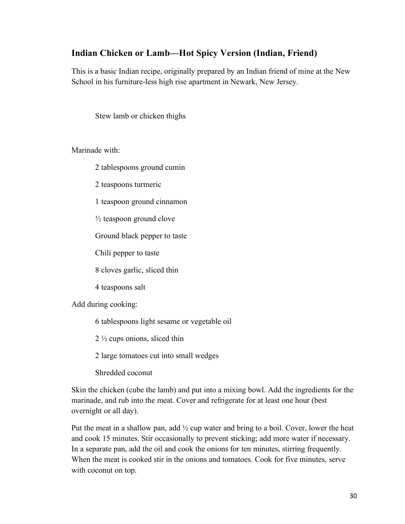### **Indian Chicken or Lamb—Hot Spicy Version (Indian, Friend)**

This is a basic Indian recipe, originally prepared by an Indian friend of mine at the New School in his furniture-less high rise apartment in Newark, New Jersey.

Stew lamb or chicken thighs

Marinade with:

2 tablespoons ground cumin

2 teaspoons turmeric

1 teaspoon ground cinnamon

 $\frac{1}{2}$  teaspoon ground clove

Ground black pepper to taste

Chili pepper to taste

8 cloves garlic, sliced thin

4 teaspoons salt

Add during cooking:

6 tablespoons light sesame or vegetable oil

2 ½ cups onions, sliced thin

2 large tomatoes cut into small wedges

Shredded coconut

Skin the chicken (cube the lamb) and put into a mixing bowl. Add the ingredients for the marinade, and rub into the meat. Cover and refrigerate for at least one hour (best overnight or all day).

Put the meat in a shallow pan, add  $\frac{1}{2}$  cup water and bring to a boil. Cover, lower the heat and cook 15 minutes. Stir occasionally to prevent sticking; add more water if necessary. In a separate pan, add the oil and cook the onions for ten minutes, stirring frequently. When the meat is cooked stir in the onions and tomatoes. Cook for five minutes, serve with coconut on top.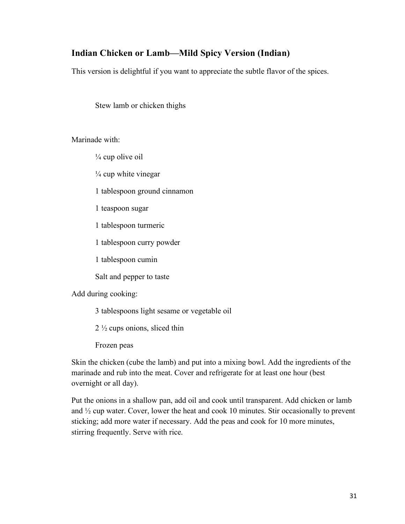## **Indian Chicken or Lamb—Mild Spicy Version (Indian)**

This version is delightful if you want to appreciate the subtle flavor of the spices.

Stew lamb or chicken thighs

Marinade with:

 $\frac{1}{4}$  cup olive oil

 $\frac{1}{4}$  cup white vinegar

1 tablespoon ground cinnamon

1 teaspoon sugar

1 tablespoon turmeric

1 tablespoon curry powder

1 tablespoon cumin

Salt and pepper to taste

Add during cooking:

3 tablespoons light sesame or vegetable oil

2 ½ cups onions, sliced thin

Frozen peas

Skin the chicken (cube the lamb) and put into a mixing bowl. Add the ingredients of the marinade and rub into the meat. Cover and refrigerate for at least one hour (best overnight or all day).

Put the onions in a shallow pan, add oil and cook until transparent. Add chicken or lamb and ½ cup water. Cover, lower the heat and cook 10 minutes. Stir occasionally to prevent sticking; add more water if necessary. Add the peas and cook for 10 more minutes, stirring frequently. Serve with rice.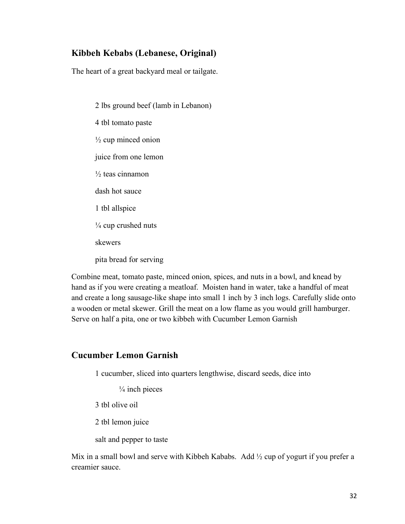### **Kibbeh Kebabs (Lebanese, Original)**

The heart of a great backyard meal or tailgate.

2 lbs ground beef (lamb in Lebanon) 4 tbl tomato paste  $\frac{1}{2}$  cup minced onion juice from one lemon  $\frac{1}{2}$  teas cinnamon dash hot sauce 1 tbl allspice  $\frac{1}{4}$  cup crushed nuts skewers pita bread for serving

Combine meat, tomato paste, minced onion, spices, and nuts in a bowl, and knead by hand as if you were creating a meatloaf. Moisten hand in water, take a handful of meat and create a long sausage-like shape into small 1 inch by 3 inch logs. Carefully slide onto a wooden or metal skewer. Grill the meat on a low flame as you would grill hamburger. Serve on half a pita, one or two kibbeh with Cucumber Lemon Garnish

#### **Cucumber Lemon Garnish**

1 cucumber, sliced into quarters lengthwise, discard seeds, dice into

 $\frac{1}{4}$  inch pieces

3 tbl olive oil

2 tbl lemon juice

salt and pepper to taste

Mix in a small bowl and serve with Kibbeh Kababs. Add  $\frac{1}{2}$  cup of yogurt if you prefer a creamier sauce.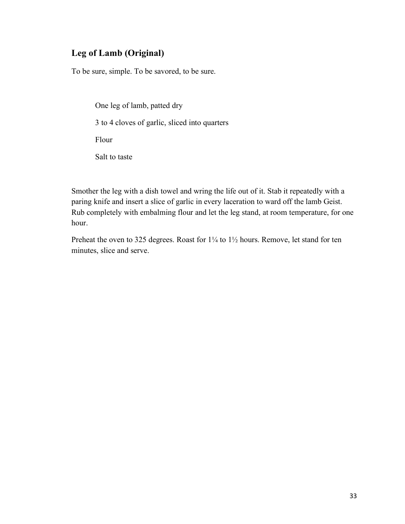### **Leg of Lamb (Original)**

To be sure, simple. To be savored, to be sure.

One leg of lamb, patted dry 3 to 4 cloves of garlic, sliced into quarters Flour Salt to taste

Smother the leg with a dish towel and wring the life out of it. Stab it repeatedly with a paring knife and insert a slice of garlic in every laceration to ward off the lamb Geist. Rub completely with embalming flour and let the leg stand, at room temperature, for one hour.

Preheat the oven to 325 degrees. Roast for  $1\frac{1}{4}$  to  $1\frac{1}{2}$  hours. Remove, let stand for ten minutes, slice and serve.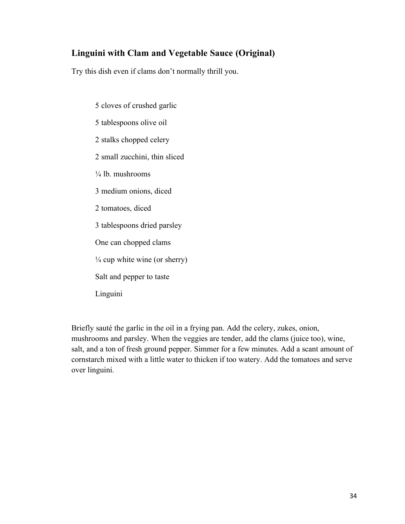## **Linguini with Clam and Vegetable Sauce (Original)**

Try this dish even if clams don't normally thrill you.

5 cloves of crushed garlic 5 tablespoons olive oil 2 stalks chopped celery 2 small zucchini, thin sliced  $\frac{1}{4}$  lb. mushrooms 3 medium onions, diced 2 tomatoes, diced 3 tablespoons dried parsley One can chopped clams  $\frac{1}{4}$  cup white wine (or sherry) Salt and pepper to taste Linguini

Briefly sauté the garlic in the oil in a frying pan. Add the celery, zukes, onion, mushrooms and parsley. When the veggies are tender, add the clams (juice too), wine, salt, and a ton of fresh ground pepper. Simmer for a few minutes. Add a scant amount of cornstarch mixed with a little water to thicken if too watery. Add the tomatoes and serve over linguini.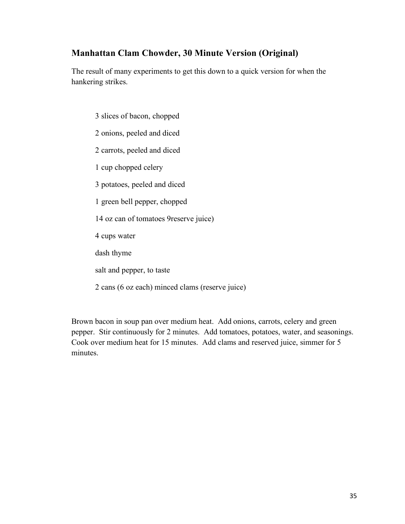## **Manhattan Clam Chowder, 30 Minute Version (Original)**

The result of many experiments to get this down to a quick version for when the hankering strikes.

2 onions, peeled and diced 2 carrots, peeled and diced 1 cup chopped celery 3 potatoes, peeled and diced 1 green bell pepper, chopped 14 oz can of tomatoes 9reserve juice) 4 cups water

3 slices of bacon, chopped

dash thyme

salt and pepper, to taste

2 cans (6 oz each) minced clams (reserve juice)

Brown bacon in soup pan over medium heat. Add onions, carrots, celery and green pepper. Stir continuously for 2 minutes. Add tomatoes, potatoes, water, and seasonings. Cook over medium heat for 15 minutes. Add clams and reserved juice, simmer for 5 minutes.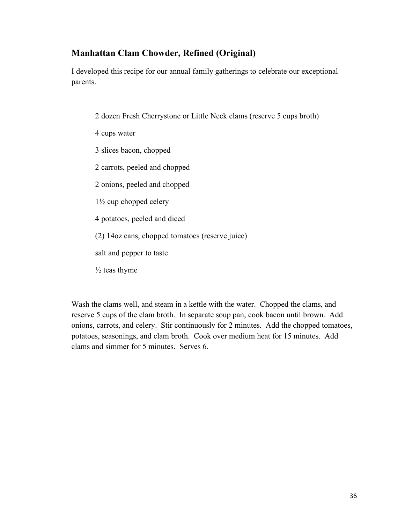## **Manhattan Clam Chowder, Refined (Original)**

I developed this recipe for our annual family gatherings to celebrate our exceptional parents.

- 2 dozen Fresh Cherrystone or Little Neck clams (reserve 5 cups broth)
- 4 cups water
- 3 slices bacon, chopped
- 2 carrots, peeled and chopped
- 2 onions, peeled and chopped
- 1½ cup chopped celery
- 4 potatoes, peeled and diced
- (2) 14oz cans, chopped tomatoes (reserve juice)
- salt and pepper to taste
- $\frac{1}{2}$  teas thyme

Wash the clams well, and steam in a kettle with the water. Chopped the clams, and reserve 5 cups of the clam broth. In separate soup pan, cook bacon until brown. Add onions, carrots, and celery. Stir continuously for 2 minutes. Add the chopped tomatoes, potatoes, seasonings, and clam broth. Cook over medium heat for 15 minutes. Add clams and simmer for 5 minutes. Serves 6.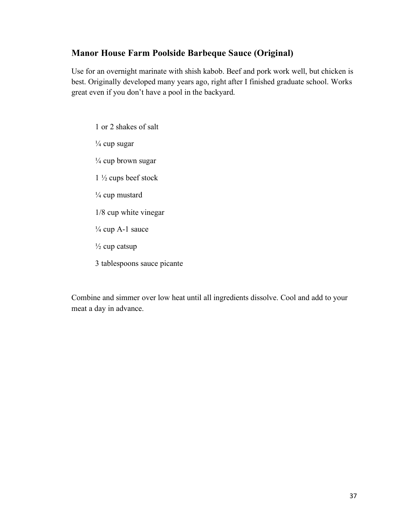#### **Manor House Farm Poolside Barbeque Sauce (Original)**

Use for an overnight marinate with shish kabob. Beef and pork work well, but chicken is best. Originally developed many years ago, right after I finished graduate school. Works great even if you don't have a pool in the backyard.

1 or 2 shakes of salt ¼ cup sugar  $\frac{1}{4}$  cup brown sugar 1 ½ cups beef stock  $\frac{1}{4}$  cup mustard 1/8 cup white vinegar  $\frac{1}{4}$  cup A-1 sauce  $\frac{1}{2}$  cup catsup 3 tablespoons sauce picante

Combine and simmer over low heat until all ingredients dissolve. Cool and add to your meat a day in advance.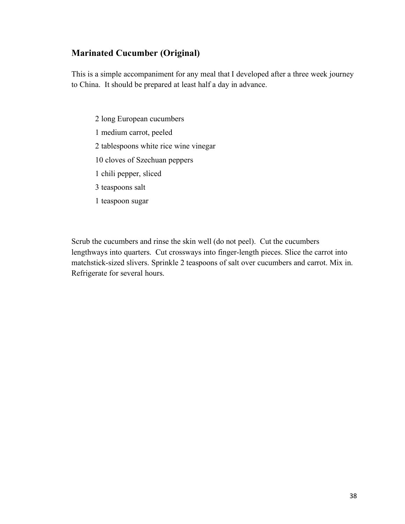### **Marinated Cucumber (Original)**

This is a simple accompaniment for any meal that I developed after a three week journey to China. It should be prepared at least half a day in advance.

2 long European cucumbers 1 medium carrot, peeled 2 tablespoons white rice wine vinegar 10 cloves of Szechuan peppers 1 chili pepper, sliced 3 teaspoons salt 1 teaspoon sugar

Scrub the cucumbers and rinse the skin well (do not peel). Cut the cucumbers lengthways into quarters. Cut crossways into finger-length pieces. Slice the carrot into matchstick-sized slivers. Sprinkle 2 teaspoons of salt over cucumbers and carrot. Mix in. Refrigerate for several hours.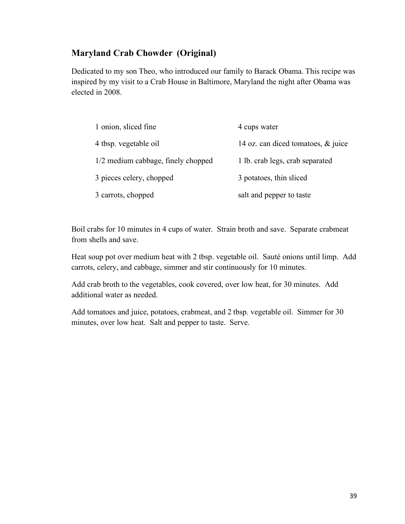### **Maryland Crab Chowder (Original)**

Dedicated to my son Theo, who introduced our family to Barack Obama. This recipe was inspired by my visit to a Crab House in Baltimore, Maryland the night after Obama was elected in 2008.

| 1 onion, sliced fine               | 4 cups water                       |
|------------------------------------|------------------------------------|
| 4 tbsp. vegetable oil              | 14 oz. can diced tomatoes, & juice |
| 1/2 medium cabbage, finely chopped | 1 lb. crab legs, crab separated    |
| 3 pieces celery, chopped           | 3 potatoes, thin sliced            |
| 3 carrots, chopped                 | salt and pepper to taste           |

Boil crabs for 10 minutes in 4 cups of water. Strain broth and save. Separate crabmeat from shells and save.

Heat soup pot over medium heat with 2 tbsp. vegetable oil. Sauté onions until limp. Add carrots, celery, and cabbage, simmer and stir continuously for 10 minutes.

Add crab broth to the vegetables, cook covered, over low heat, for 30 minutes. Add additional water as needed.

Add tomatoes and juice, potatoes, crabmeat, and 2 tbsp. vegetable oil. Simmer for 30 minutes, over low heat. Salt and pepper to taste. Serve.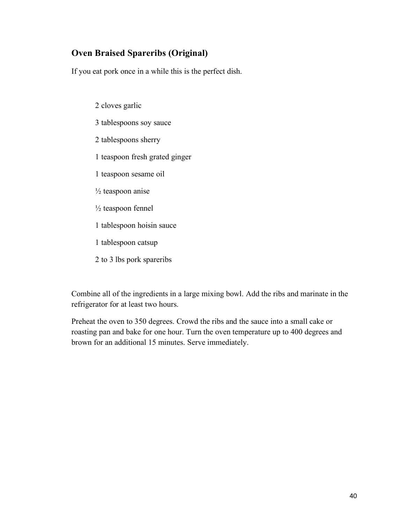## **Oven Braised Spareribs (Original)**

If you eat pork once in a while this is the perfect dish.

2 cloves garlic 3 tablespoons soy sauce 2 tablespoons sherry 1 teaspoon fresh grated ginger 1 teaspoon sesame oil  $\frac{1}{2}$  teaspoon anise ½ teaspoon fennel 1 tablespoon hoisin sauce 1 tablespoon catsup 2 to 3 lbs pork spareribs

Combine all of the ingredients in a large mixing bowl. Add the ribs and marinate in the refrigerator for at least two hours.

Preheat the oven to 350 degrees. Crowd the ribs and the sauce into a small cake or roasting pan and bake for one hour. Turn the oven temperature up to 400 degrees and brown for an additional 15 minutes. Serve immediately.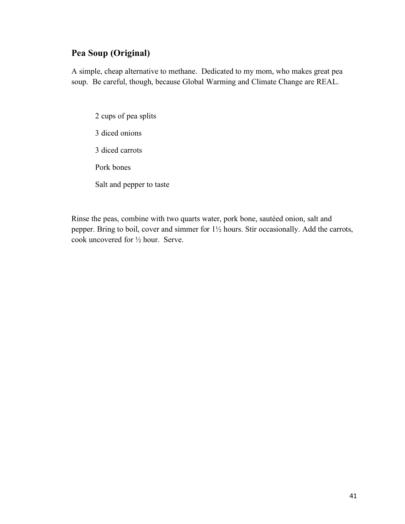### **Pea Soup (Original)**

A simple, cheap alternative to methane. Dedicated to my mom, who makes great pea soup. Be careful, though, because Global Warming and Climate Change are REAL.

2 cups of pea splits 3 diced onions 3 diced carrots Pork bones Salt and pepper to taste

Rinse the peas, combine with two quarts water, pork bone, sautéed onion, salt and pepper. Bring to boil, cover and simmer for 1½ hours. Stir occasionally. Add the carrots, cook uncovered for ½ hour. Serve.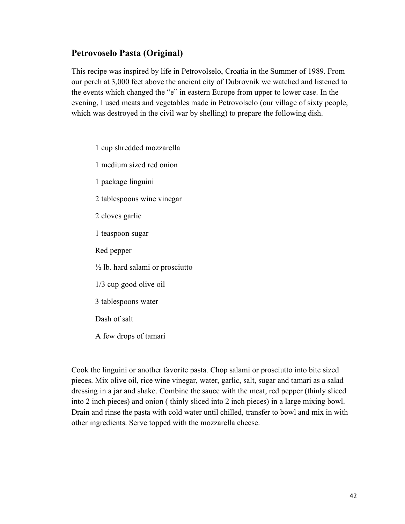#### **Petrovoselo Pasta (Original)**

This recipe was inspired by life in Petrovolselo, Croatia in the Summer of 1989. From our perch at 3,000 feet above the ancient city of Dubrovnik we watched and listened to the events which changed the "e" in eastern Europe from upper to lower case. In the evening, I used meats and vegetables made in Petrovolselo (our village of sixty people, which was destroyed in the civil war by shelling) to prepare the following dish.

1 cup shredded mozzarella

1 medium sized red onion

1 package linguini

2 tablespoons wine vinegar

2 cloves garlic

1 teaspoon sugar

Red pepper

 $\frac{1}{2}$  lb. hard salami or prosciutto

1/3 cup good olive oil

3 tablespoons water

Dash of salt

A few drops of tamari

Cook the linguini or another favorite pasta. Chop salami or prosciutto into bite sized pieces. Mix olive oil, rice wine vinegar, water, garlic, salt, sugar and tamari as a salad dressing in a jar and shake. Combine the sauce with the meat, red pepper (thinly sliced into 2 inch pieces) and onion ( thinly sliced into 2 inch pieces) in a large mixing bowl. Drain and rinse the pasta with cold water until chilled, transfer to bowl and mix in with other ingredients. Serve topped with the mozzarella cheese.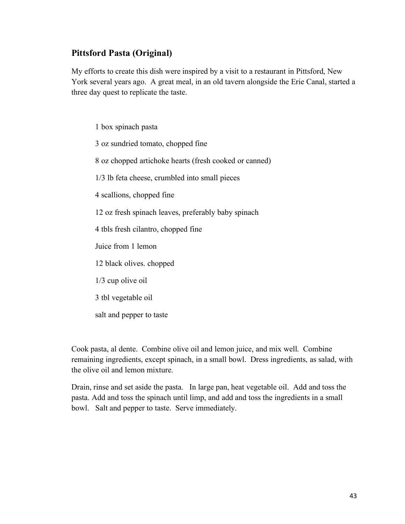#### **Pittsford Pasta (Original)**

My efforts to create this dish were inspired by a visit to a restaurant in Pittsford, New York several years ago. A great meal, in an old tavern alongside the Erie Canal, started a three day quest to replicate the taste.

1 box spinach pasta 3 oz sundried tomato, chopped fine 8 oz chopped artichoke hearts (fresh cooked or canned) 1/3 lb feta cheese, crumbled into small pieces 4 scallions, chopped fine 12 oz fresh spinach leaves, preferably baby spinach 4 tbls fresh cilantro, chopped fine Juice from 1 lemon 12 black olives. chopped 1/3 cup olive oil 3 tbl vegetable oil salt and pepper to taste

Cook pasta, al dente. Combine olive oil and lemon juice, and mix well. Combine remaining ingredients, except spinach, in a small bowl. Dress ingredients, as salad, with the olive oil and lemon mixture.

Drain, rinse and set aside the pasta. In large pan, heat vegetable oil. Add and toss the pasta. Add and toss the spinach until limp, and add and toss the ingredients in a small bowl. Salt and pepper to taste. Serve immediately.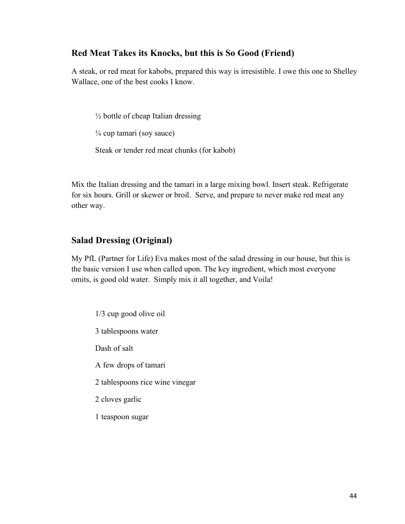#### **Red Meat Takes its Knocks, but this is So Good (Friend)**

A steak, or red meat for kabobs, prepared this way is irresistible. I owe this one to Shelley Wallace, one of the best cooks I know.

 $\frac{1}{2}$  bottle of cheap Italian dressing  $\frac{1}{4}$  cup tamari (soy sauce) Steak or tender red meat chunks (for kabob)

Mix the Italian dressing and the tamari in a large mixing bowl. Insert steak. Refrigerate for six hours. Grill or skewer or broil. Serve, and prepare to never make red meat any other way.

#### **Salad Dressing (Original)**

My PfL (Partner for Life) Eva makes most of the salad dressing in our house, but this is the basic version I use when called upon. The key ingredient, which most everyone omits, is good old water. Simply mix it all together, and Voila!

1/3 cup good olive oil 3 tablespoons water Dash of salt A few drops of tamari 2 tablespoons rice wine vinegar 2 cloves garlic 1 teaspoon sugar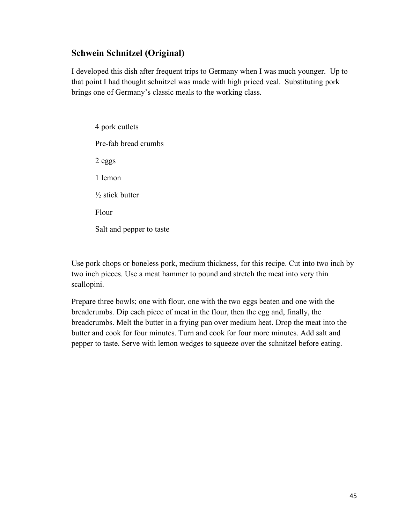### **Schwein Schnitzel (Original)**

I developed this dish after frequent trips to Germany when I was much younger. Up to that point I had thought schnitzel was made with high priced veal. Substituting pork brings one of Germany's classic meals to the working class.

4 pork cutlets Pre-fab bread crumbs 2 eggs 1 lemon  $\frac{1}{2}$  stick butter Flour Salt and pepper to taste

Use pork chops or boneless pork, medium thickness, for this recipe. Cut into two inch by two inch pieces. Use a meat hammer to pound and stretch the meat into very thin scallopini.

Prepare three bowls; one with flour, one with the two eggs beaten and one with the breadcrumbs. Dip each piece of meat in the flour, then the egg and, finally, the breadcrumbs. Melt the butter in a frying pan over medium heat. Drop the meat into the butter and cook for four minutes. Turn and cook for four more minutes. Add salt and pepper to taste. Serve with lemon wedges to squeeze over the schnitzel before eating.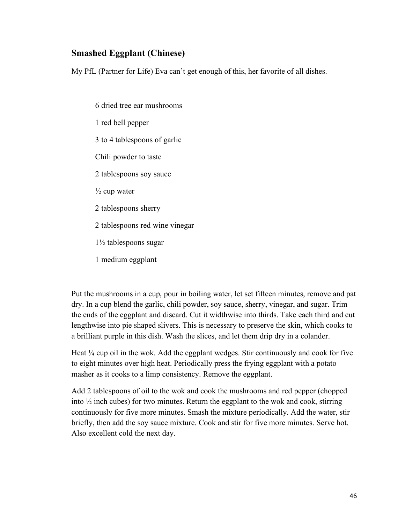#### **Smashed Eggplant (Chinese)**

My PfL (Partner for Life) Eva can't get enough of this, her favorite of all dishes.

6 dried tree ear mushrooms 1 red bell pepper 3 to 4 tablespoons of garlic Chili powder to taste 2 tablespoons soy sauce  $\frac{1}{2}$  cup water 2 tablespoons sherry 2 tablespoons red wine vinegar 1½ tablespoons sugar 1 medium eggplant

Put the mushrooms in a cup, pour in boiling water, let set fifteen minutes, remove and pat dry. In a cup blend the garlic, chili powder, soy sauce, sherry, vinegar, and sugar. Trim the ends of the eggplant and discard. Cut it widthwise into thirds. Take each third and cut lengthwise into pie shaped slivers. This is necessary to preserve the skin, which cooks to a brilliant purple in this dish. Wash the slices, and let them drip dry in a colander.

Heat  $\frac{1}{4}$  cup oil in the wok. Add the eggplant wedges. Stir continuously and cook for five to eight minutes over high heat. Periodically press the frying eggplant with a potato masher as it cooks to a limp consistency. Remove the eggplant.

Add 2 tablespoons of oil to the wok and cook the mushrooms and red pepper (chopped into  $\frac{1}{2}$  inch cubes) for two minutes. Return the eggplant to the wok and cook, stirring continuously for five more minutes. Smash the mixture periodically. Add the water, stir briefly, then add the soy sauce mixture. Cook and stir for five more minutes. Serve hot. Also excellent cold the next day.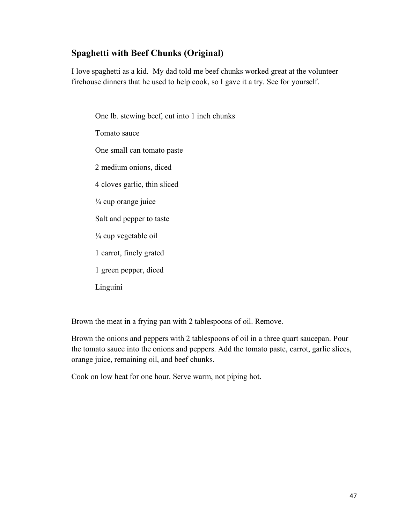### **Spaghetti with Beef Chunks (Original)**

I love spaghetti as a kid. My dad told me beef chunks worked great at the volunteer firehouse dinners that he used to help cook, so I gave it a try. See for yourself.

One lb. stewing beef, cut into 1 inch chunks Tomato sauce One small can tomato paste 2 medium onions, diced 4 cloves garlic, thin sliced ¼ cup orange juice Salt and pepper to taste ¼ cup vegetable oil 1 carrot, finely grated 1 green pepper, diced Linguini

Brown the meat in a frying pan with 2 tablespoons of oil. Remove.

Brown the onions and peppers with 2 tablespoons of oil in a three quart saucepan. Pour the tomato sauce into the onions and peppers. Add the tomato paste, carrot, garlic slices, orange juice, remaining oil, and beef chunks.

Cook on low heat for one hour. Serve warm, not piping hot.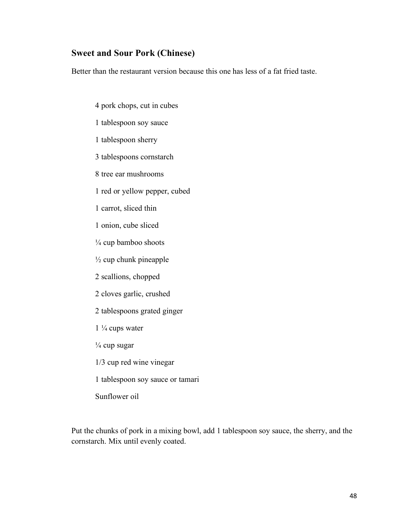#### **Sweet and Sour Pork (Chinese)**

Better than the restaurant version because this one has less of a fat fried taste.

- 4 pork chops, cut in cubes
- 1 tablespoon soy sauce
- 1 tablespoon sherry
- 3 tablespoons cornstarch
- 8 tree ear mushrooms
- 1 red or yellow pepper, cubed
- 1 carrot, sliced thin
- 1 onion, cube sliced
- $\frac{1}{4}$  cup bamboo shoots
- $\frac{1}{2}$  cup chunk pineapple
- 2 scallions, chopped
- 2 cloves garlic, crushed
- 2 tablespoons grated ginger
- $1\frac{1}{4}$  cups water
- $\frac{1}{4}$  cup sugar
- 1/3 cup red wine vinegar
- 1 tablespoon soy sauce or tamari
- Sunflower oil

Put the chunks of pork in a mixing bowl, add 1 tablespoon soy sauce, the sherry, and the cornstarch. Mix until evenly coated.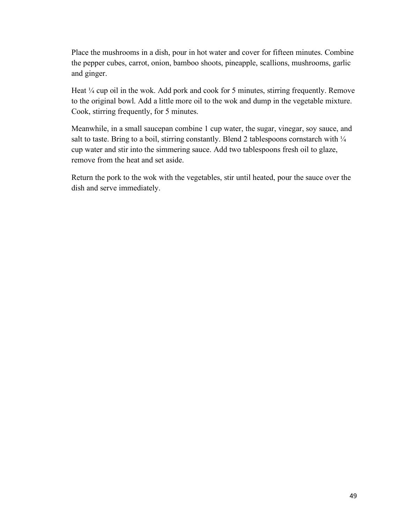Place the mushrooms in a dish, pour in hot water and cover for fifteen minutes. Combine the pepper cubes, carrot, onion, bamboo shoots, pineapple, scallions, mushrooms, garlic and ginger.

Heat  $\frac{1}{4}$  cup oil in the wok. Add pork and cook for 5 minutes, stirring frequently. Remove to the original bowl. Add a little more oil to the wok and dump in the vegetable mixture. Cook, stirring frequently, for 5 minutes.

Meanwhile, in a small saucepan combine 1 cup water, the sugar, vinegar, soy sauce, and salt to taste. Bring to a boil, stirring constantly. Blend 2 tablespoons cornstarch with  $\frac{1}{4}$ cup water and stir into the simmering sauce. Add two tablespoons fresh oil to glaze, remove from the heat and set aside.

Return the pork to the wok with the vegetables, stir until heated, pour the sauce over the dish and serve immediately.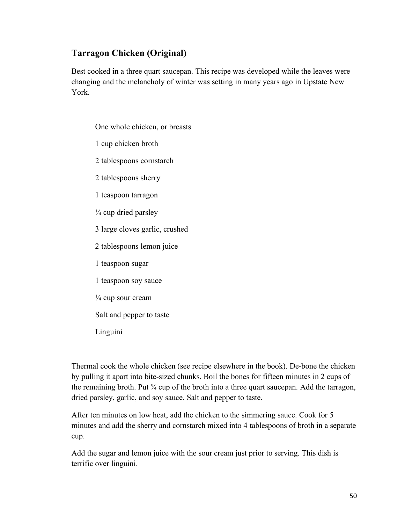## **Tarragon Chicken (Original)**

Best cooked in a three quart saucepan. This recipe was developed while the leaves were changing and the melancholy of winter was setting in many years ago in Upstate New York.

One whole chicken, or breasts 1 cup chicken broth 2 tablespoons cornstarch 2 tablespoons sherry 1 teaspoon tarragon  $\frac{1}{4}$  cup dried parsley 3 large cloves garlic, crushed 2 tablespoons lemon juice 1 teaspoon sugar 1 teaspoon soy sauce  $\frac{1}{4}$  cup sour cream Salt and pepper to taste Linguini

Thermal cook the whole chicken (see recipe elsewhere in the book). De-bone the chicken by pulling it apart into bite-sized chunks. Boil the bones for fifteen minutes in 2 cups of the remaining broth. Put  $\frac{3}{4}$  cup of the broth into a three quart saucepan. Add the tarragon, dried parsley, garlic, and soy sauce. Salt and pepper to taste.

After ten minutes on low heat, add the chicken to the simmering sauce. Cook for 5 minutes and add the sherry and cornstarch mixed into 4 tablespoons of broth in a separate cup.

Add the sugar and lemon juice with the sour cream just prior to serving. This dish is terrific over linguini.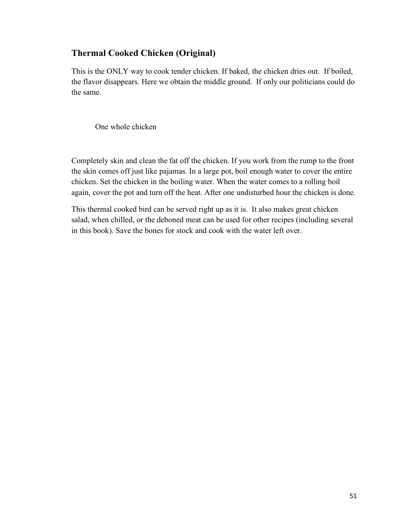### **Thermal Cooked Chicken (Original)**

This is the ONLY way to cook tender chicken. If baked, the chicken dries out. If boiled, the flavor disappears. Here we obtain the middle ground. If only our politicians could do the same.

One whole chicken

Completely skin and clean the fat off the chicken. If you work from the rump to the front the skin comes off just like pajamas. In a large pot, boil enough water to cover the entire chicken. Set the chicken in the boiling water. When the water comes to a rolling boil again, cover the pot and turn off the heat. After one undisturbed hour the chicken is done.

This thermal cooked bird can be served right up as it is. It also makes great chicken salad, when chilled, or the deboned meat can be used for other recipes (including several in this book). Save the bones for stock and cook with the water left over.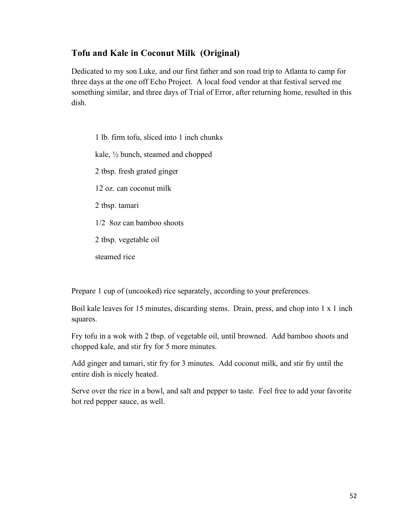### **Tofu and Kale in Coconut Milk (Original)**

Dedicated to my son Luke, and our first father and son road trip to Atlanta to camp for three days at the one off Echo Project. A local food vendor at that festival served me something similar, and three days of Trial of Error, after returning home, resulted in this dish.

1 lb. firm tofu, sliced into 1 inch chunks kale, ½ bunch, steamed and chopped 2 tbsp. fresh grated ginger 12 oz. can coconut milk 2 tbsp. tamari 1/2 8oz can bamboo shoots 2 tbsp. vegetable oil steamed rice

Prepare 1 cup of (uncooked) rice separately, according to your preferences.

Boil kale leaves for 15 minutes, discarding stems. Drain, press, and chop into 1 x 1 inch squares.

Fry tofu in a wok with 2 tbsp. of vegetable oil, until browned. Add bamboo shoots and chopped kale, and stir fry for 5 more minutes.

Add ginger and tamari, stir fry for 3 minutes. Add coconut milk, and stir fry until the entire dish is nicely heated.

Serve over the rice in a bowl, and salt and pepper to taste. Feel free to add your favorite hot red pepper sauce, as well.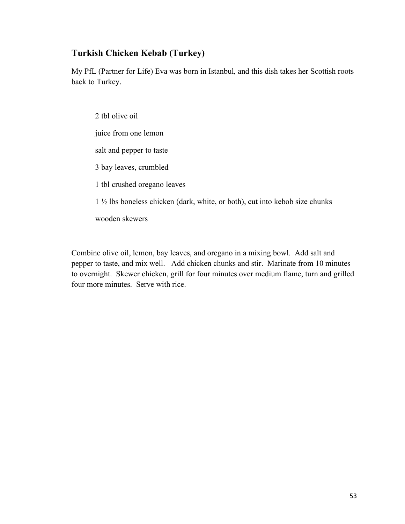### **Turkish Chicken Kebab (Turkey)**

My PfL (Partner for Life) Eva was born in Istanbul, and this dish takes her Scottish roots back to Turkey.

2 tbl olive oil juice from one lemon salt and pepper to taste 3 bay leaves, crumbled 1 tbl crushed oregano leaves 1 ½ lbs boneless chicken (dark, white, or both), cut into kebob size chunks wooden skewers

Combine olive oil, lemon, bay leaves, and oregano in a mixing bowl. Add salt and pepper to taste, and mix well. Add chicken chunks and stir. Marinate from 10 minutes to overnight. Skewer chicken, grill for four minutes over medium flame, turn and grilled four more minutes. Serve with rice.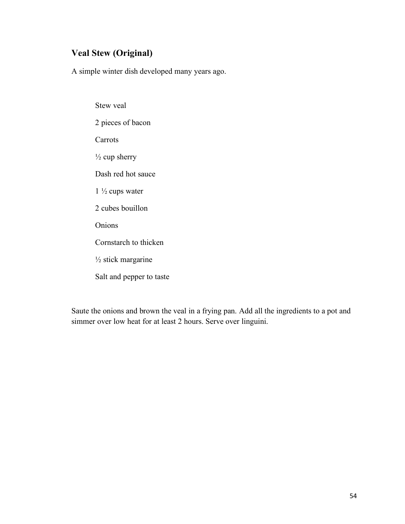# **Veal Stew (Original)**

A simple winter dish developed many years ago.

Stew veal 2 pieces of bacon Carrots  $\frac{1}{2}$  cup sherry Dash red hot sauce  $1\frac{1}{2}$  cups water 2 cubes bouillon Onions Cornstarch to thicken  $\frac{1}{2}$  stick margarine Salt and pepper to taste

Saute the onions and brown the veal in a frying pan. Add all the ingredients to a pot and simmer over low heat for at least 2 hours. Serve over linguini.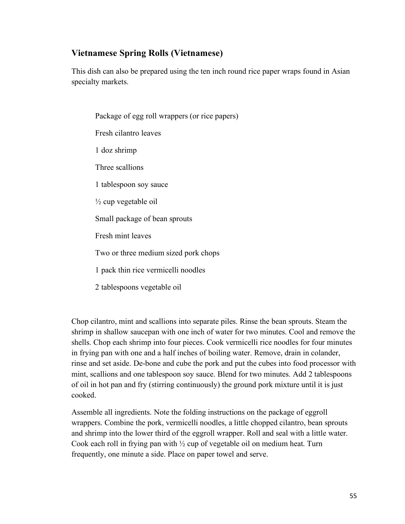### **Vietnamese Spring Rolls (Vietnamese)**

This dish can also be prepared using the ten inch round rice paper wraps found in Asian specialty markets.

Package of egg roll wrappers (or rice papers) Fresh cilantro leaves 1 doz shrimp Three scallions 1 tablespoon soy sauce  $\frac{1}{2}$  cup vegetable oil Small package of bean sprouts Fresh mint leaves Two or three medium sized pork chops 1 pack thin rice vermicelli noodles 2 tablespoons vegetable oil

Chop cilantro, mint and scallions into separate piles. Rinse the bean sprouts. Steam the shrimp in shallow saucepan with one inch of water for two minutes. Cool and remove the shells. Chop each shrimp into four pieces. Cook vermicelli rice noodles for four minutes in frying pan with one and a half inches of boiling water. Remove, drain in colander, rinse and set aside. De-bone and cube the pork and put the cubes into food processor with mint, scallions and one tablespoon soy sauce. Blend for two minutes. Add 2 tablespoons of oil in hot pan and fry (stirring continuously) the ground pork mixture until it is just cooked.

Assemble all ingredients. Note the folding instructions on the package of eggroll wrappers. Combine the pork, vermicelli noodles, a little chopped cilantro, bean sprouts and shrimp into the lower third of the eggroll wrapper. Roll and seal with a little water. Cook each roll in frying pan with  $\frac{1}{2}$  cup of vegetable oil on medium heat. Turn frequently, one minute a side. Place on paper towel and serve.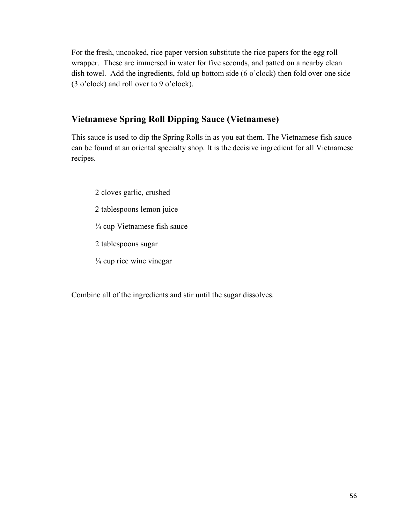For the fresh, uncooked, rice paper version substitute the rice papers for the egg roll wrapper. These are immersed in water for five seconds, and patted on a nearby clean dish towel. Add the ingredients, fold up bottom side (6 o'clock) then fold over one side (3 o'clock) and roll over to 9 o'clock).

## **Vietnamese Spring Roll Dipping Sauce (Vietnamese)**

This sauce is used to dip the Spring Rolls in as you eat them. The Vietnamese fish sauce can be found at an oriental specialty shop. It is the decisive ingredient for all Vietnamese recipes.

- 2 cloves garlic, crushed
- 2 tablespoons lemon juice
- ¼ cup Vietnamese fish sauce
- 2 tablespoons sugar
- $\frac{1}{4}$  cup rice wine vinegar

Combine all of the ingredients and stir until the sugar dissolves.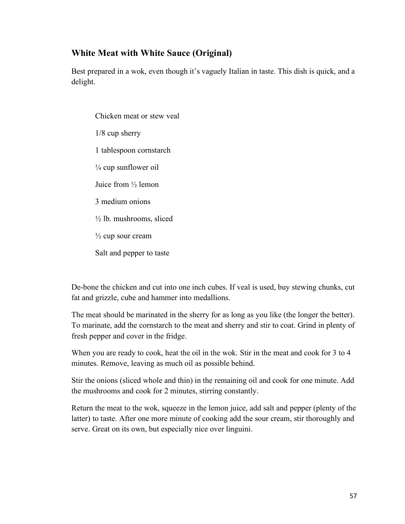### **White Meat with White Sauce (Original)**

Best prepared in a wok, even though it's vaguely Italian in taste. This dish is quick, and a delight.

Chicken meat or stew veal 1/8 cup sherry 1 tablespoon cornstarch  $\frac{1}{4}$  cup sunflower oil Juice from ½ lemon 3 medium onions  $\frac{1}{2}$  lb. mushrooms, sliced  $\frac{1}{2}$  cup sour cream Salt and pepper to taste

De-bone the chicken and cut into one inch cubes. If veal is used, buy stewing chunks, cut fat and grizzle, cube and hammer into medallions.

The meat should be marinated in the sherry for as long as you like (the longer the better). To marinate, add the cornstarch to the meat and sherry and stir to coat. Grind in plenty of fresh pepper and cover in the fridge.

When you are ready to cook, heat the oil in the wok. Stir in the meat and cook for 3 to 4 minutes. Remove, leaving as much oil as possible behind.

Stir the onions (sliced whole and thin) in the remaining oil and cook for one minute. Add the mushrooms and cook for 2 minutes, stirring constantly.

Return the meat to the wok, squeeze in the lemon juice, add salt and pepper (plenty of the latter) to taste. After one more minute of cooking add the sour cream, stir thoroughly and serve. Great on its own, but especially nice over linguini.